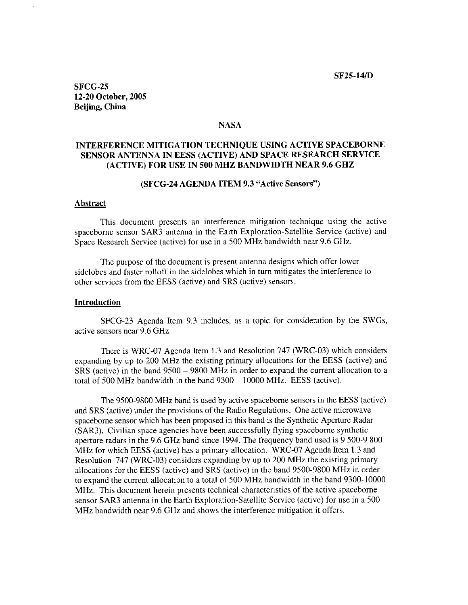**SF25-14/D** 

**SFCG-25 12-20 October, 2005 Beijing, China** 

#### **NASA**

# **INTERFERENCE MITIGATION TECHNIQUE USING ACTIVE SPACEBORNE SENSOR ANTENNA IN EESS (ACTIVE) AND SPACE RESEARCH SERVICE (ACTIVE) FOR USE IN 500 MHZ BANDWIDTH NEAR 9.6 GHZ**

#### **(SFCG-24 AGENDA ITEM 9.3 "Active Sensors")**

### **Abstract**

This document presents an interference mitigation technique using the active spaceborne sensor SAR3 antenna in the Earth Exploration-Satellite Service (active) and Space Research Service (active) for use in a 500 MHz bandwidth near 9.6 GHz.

The purpose of the document is present antenna designs which offer lower sidelobes and faster rolloff in the sidelobes which in turn mitigates the interference to other services from the EESS (active) and SRS (active) sensors.

#### **Introduction**

SFCG-23 Agenda Item 9.3 includes, as a topic for consideration by the SWGs, active sensors near 9.6 GHz.

There is WRC-07 Agenda Item 1.3 and Resolution 747 (WRC-03) which considers expanding by up to 200 MHz the existing primary allocations for the EESS (active) and SRS (active) in the band 9500 - 9800 MHz in order to expand the current allocation to a total of 500 MHz bandwidth in the band 9300 - 10000 MHz. EESS (active).

The 9500-9800 MHz band is used by active spaceborne sensors in the EESS (active) and SRS (active) under the provisions of the Radio Regulations. One active microwave spaceborne sensor which has been proposed in this band is the Synthetic Aperture Radar (SAR3). Civilian space agencies have been successfully flying spaceborne synthetic aperture radars in the 9.6 **GHz** band since 1994. The frequency band used is 9 500-9 800 **MHz** for which EESS (active) has a primary allocation. WRC-07 Agenda Item 1.3 and Resolution 747 (WRC-03) considers expanding by up to 200 MHz the existing primary allocations for the EESS (active) and SRS (active) in the band 9500-9800 MHz in order to expand the current allocation to a total of 500 MHz bandwidth in the band 9300-10000 MHz. This document herein presents technical characteristics of the active spaceborne sensor SAR3 antenna in the Earth Exploration-Satellite Service (active) for use in a 500 MHz bandwidth near 9.6 GHz and shows the interference mitigation it offers.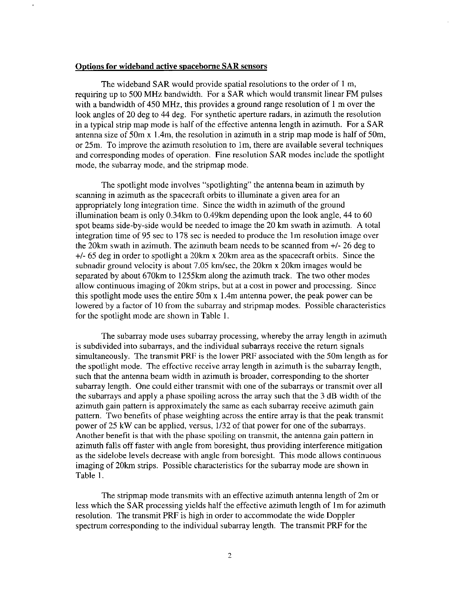#### **Options for wideband active spaceborne SAR sensors**

The wideband SAR would provide spatial resolutions to the order of 1 m, requiring up to 500 MHz bandwidth. For a SAR which would transmit linear FM pulses with a bandwidth of 450 MHz, this provides a ground range resolution of 1 m over the look angles of 20 deg to 44 deg. For synthetic aperture radars, in azimuth the resolution in a typical strip map mode is half of the effective antenna length in azimuth. For a SAR antenna size of 50m x 1.4m, the resolution in azimuth in a strip map mode is half of 50m, or 25m. To improve the azimuth resolution to lm, there are available several techniques and corresponding modes of operation. Fine resolution SAR modes include the spotlight mode, the subarray mode, and the stripmap mode.

The spotlight mode involves "spotlighting" the antenna beam in azimuth by scanning in azimuth as the spacecraft orbits to illuminate a given area for an appropriately long integration time. Since the width in azimuth of the ground illumination beam is only 0.34km to 0.49km depending upon the look angle, 44 to 60 spot beams side-by-side would be needed to image the 20 **km** swath in azimuth. **A** total integration time of 95 sec to 178 sec is needed to produce the lm resolution image over the 20km swath in azimuth. The azimuth beam needs to be scanned from +/- 26 deg to +/- 65 deg in order to spotlight a 20km x 20km area as the spacecraft orbits. Since the subnadir ground velocity is about 7.05 km/sec, the 20km x 20km images would be separated by about 670km to 1255km along the azimuth track. The two other modes allow continuous imaging of 20km strips, but at a cost in power and processing. Since this spotlight mode uses the entire 50m **x** 1.4m antenna power, the peak power can be lowered by a factor of 10 from the subarray and stripmap modes. Possible characteristics for the spotlight mode are shown in Table 1.

The subarray mode uses subarray processing, whereby the array length in azimuth is subdivided into subarrays, and the individual subarrays receive the return signals simultaneously. The transmit PRF is the lower PRF associated with the 50m length as for the spotlight mode. The effective receive array length in azimuth is the subarray length, such that the antenna beam width in azimuth is broader, corresponding to the shorter subarray length. One could either transmit with one of the subarrays or transmit over all the subarrays and apply a phase spoiling across the array such that the 3 dB width of the azimuth gain pattern is approximately the same as each subarray receive azimuth gain pattern. Two benefits of phase weighting across the entire array is that the peak transmit power of 25 kW can be applied, versus, 1/32 of that power for one of the subarrays. Another benefit is that with the phase spoiling on transmit, the antenna gain pattern in azimuth falls off faster with angle from boresight, thus providing interference mitigation as the sidelobe levels decrease with angle from boresight. This mode allows continuous imaging of 20km strips. Possible characteristics for the subarray mode are shown in Table 1.

The stripmap mode transmits with an effective azimuth antenna length of 2m or less which the SAR processing yields half the effective azimuth length of lm for azimuth resolution. The transmit PRF is high in order to accommodate the wide Doppler spectrum corresponding to the individual subarray length. The transmit PRF for the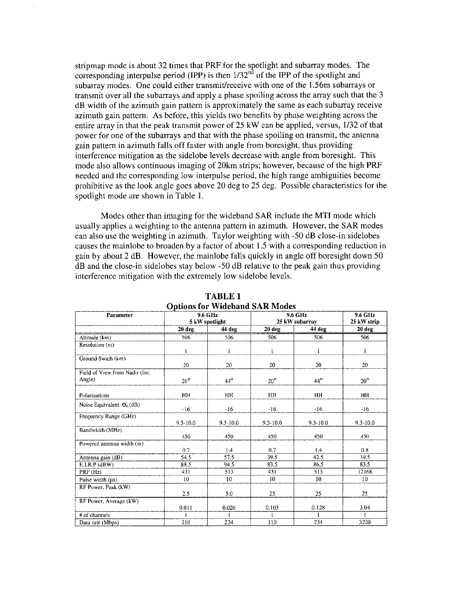stripmap mode is about 32 times that PRF for the spotlight and subarray modes. The corresponding interpulse period (IPP) is then  $1/32<sup>nd</sup>$  of the IPP of the spotlight and subarray modes. One could either transmit/receive with one of the 1.56m subarrays or transmit over all the subarrays and apply a phase spoiling across the array such that the 3 dB width of the azimuth gain pattern is approximately the same as each subarray receive azimuth gain pattern. As before, this yields two benefits by phase weighting across the entire array in that the peak transmit power of 25 kW can be applied, versus, 1/32 of that power for one of the subarrays and that with the phase spoiling on transmit, the antenna gain pattern in azimuth falls off faster with angle from boresight, thus providing interference mitigation as the sidelobe levels decrease with angle from boresight. This mode also allows continuous imaging of 20km strips; however, because of the high PRF needed and the corresponding low interpulse period, the high range ambiguities become prohibitive as the look angle goes above 20 deg to 25 deg. Possible characteristics for the spotlight mode are shown in Table 1.

Modes other than imaging for the wideband SAR include the MTI mode which usually applies a weighting to the antenna pattern in azimuth. However, the SAR modes can also use the weighting in azimuth. Taylor weighting with -50 dB close-in sidelobes causes the mainlobe to broaden by a factor of about 1.5 with a corresponding reduction in gain by about 2 dB. However, the mainlobe falls quickly in angle off boresight down 50 dB and the close-in sidelobes stay below -50 dB relative to the peak gain thus providing interference mitigation with the extremely low sidelobe levels.

| Options for Triutound Diarchard<br>9.6 GHz<br>9.6 GHz<br>Parameter |              |                |                |              | 9.6 GHz         |
|--------------------------------------------------------------------|--------------|----------------|----------------|--------------|-----------------|
|                                                                    |              | 5 kW spotlight | 25 kW subarray |              | 25 kW strip     |
|                                                                    | 20 deg       | 44 deg         | 20 deg         | 44 deg       | 20 deg          |
| Altitude (km)                                                      | 506          | 506            | 506            | 506          | 506             |
| Resolution (m)                                                     |              |                |                |              |                 |
|                                                                    | $\mathbf{1}$ | 1              | $\mathbf{1}$   | $\mathbf{1}$ | 1               |
| Ground Swath (km)                                                  |              |                |                |              |                 |
|                                                                    | 20           | 20             | 20             | 20           | 20              |
| Field of View from Nadir (Inc.                                     |              |                |                |              |                 |
| Angle)                                                             | $20^{\circ}$ | $44^\circ$     | $20^{\circ}$   | $44^\circ$   | $20^{\circ}$    |
|                                                                    |              |                |                |              |                 |
| Polarizations                                                      | HH           | <b>HH</b>      | HH             | HH           | HН              |
| Noise Equivalent $\sigma_0$ (dB)                                   |              |                |                |              |                 |
|                                                                    | $-16$        | $-16$          | $-16$          | $-16$        | $-16$           |
| Frequency Range (GHz)                                              |              |                |                |              |                 |
|                                                                    | 9.3-10.0     | $9.3 - 10.0$   | $9.3 - 10.0$   | $9.3 - 10.0$ | $9.3 - 10.0$    |
| Bandwidth (MHz)                                                    |              |                |                |              |                 |
|                                                                    | 450          | 450            | 450            | 450          | 450             |
| Powered antenna width (m)                                          |              |                |                |              |                 |
|                                                                    | 0.7          | 1.4            | 0.7            | 14           | 0.8             |
| Antenna gain (dB)                                                  | 54.5         | 57.5           | 39.5           | 42.5         | 39.5            |
| E.I.R.P (dBW)                                                      | 88.5         | 94.5           | 83.5           | 86.5         | 83.5            |
| PRF (Hz)                                                           | 431          | 513            | 431            | 513          | 12168           |
| Pulse width $(\mu s)$                                              | 10           | 10             | 10             | 10           | 10 <sup>°</sup> |
| RF Power, Peak (kW)                                                |              |                |                |              |                 |
|                                                                    | 2.5          | 5.0            | 25             | 25           | 25              |
| RF Power, Average (kW)                                             |              |                |                |              |                 |
|                                                                    | 0.011        | 0.026          | 0.103          | 0.128        | 3.04            |
| # of channels                                                      |              |                |                |              |                 |
| Data rate (Mbps)                                                   | 110          | 234            | 110            | 234          | 3220            |

**TABLE 1 O~tions for Wideband SAR Modes**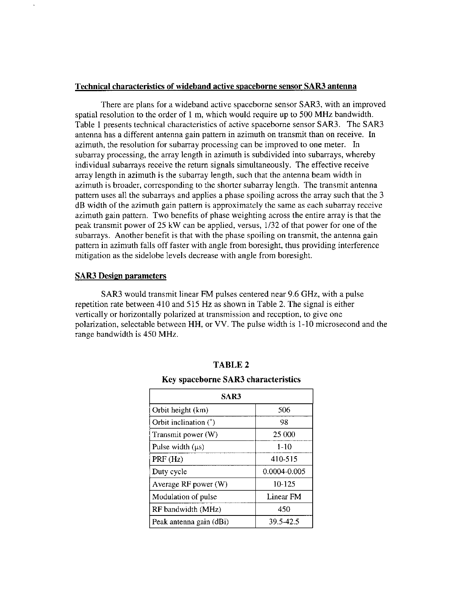### **Technical characteristics of wideband active spaceborne sensor SAR3 antenna**

There are plans for a wideband active spaceborne sensor SAR3, with an improved spatial resolution to the order of 1 m, which would require up to 500 MHz bandwidth. Table 1 presents technical characteristics of active spaceborne sensor **SAR3.** The SAR3 antenna has a different antenna gain pattern in azimuth on transmit than on receive. In azimuth, the resolution for subarray processing can be improved to one meter. In subarray processing, the array length in azimuth is subdivided into subarrays, whereby individual subarrays receive the return signals simultaneously. The effective receive array length in azimuth is the subarray length, such that the antenna beam width in azimuth is broader, corresponding to the shorter subarray length. The transmit antenna pattern uses all the subarrays and applies a phase spoiling across the array such that the 3 dB width of the azimuth gain pattern is approximately the same as each subarray receive azimuth gain pattern. Two benefits of phase weighting across the entire array is that the peak transmit power of 25 **kW** can be applied, versus, 1/32 of that power for one of the subarrays. Another benefit is that with the phase spoiling on transmit, the antenna gain pattern in azimuth falls off faster with angle from boresight, thus providing interference mitigation as the sidelobe levels decrease with angle from boresight.

### **SAR3** Design parameters

**SAR3** would transmit linear FM pulses centered near 9.6 GHz, with a pulse repetition rate between 410 and 515 Hz as shown in Table 2. The signal is either vertically or horizontally polarized at transmission and reception, to give one polarization, selectable between HH, or VV. The pulse width is 1-10 microsecond and the range bandwidth is 450 MHz.

| SAR3                    |              |  |  |
|-------------------------|--------------|--|--|
| Orbit height (km)       | 506          |  |  |
| Orbit inclination (°)   | 98           |  |  |
| Transmit power (W)      | 25 000       |  |  |
| Pulse width $(\mu s)$   | $1-10$       |  |  |
| PRF (Hz)                | 410-515      |  |  |
| Duty cycle              | 0.0004-0.005 |  |  |
| Average RF power (W)    | 10-125       |  |  |
| Modulation of pulse     | Linear FM    |  |  |
| RF bandwidth (MHz)      | 450          |  |  |
| Peak antenna gain (dBi) | 39.5-42.5    |  |  |

## **TABLE 2**

## **Key spaceborne SAR3 characteristics**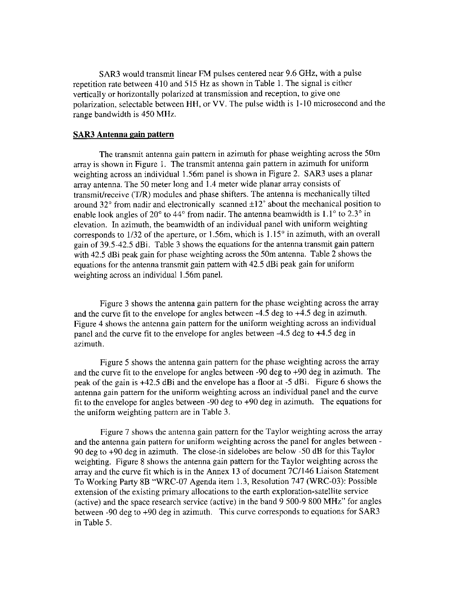**SAR3** would transmit linear **FM** pulses centered near 9.6 **GHz,** with a pulse repetition rate between 410 and 515 Hz as shown in Table 1. The signal is either vertically or horizontally polarized at transmission and reception, to give one polarization, selectable between HH, or VV. The pulse width is 1-10 microsecond and the range bandwidth is 450 MHz.

## **SAR3 Antenna gain pattern**

The transmit antenna gain pattern in azimuth for phase weighting across the 50m array is shown in Figure I. The transmit antenna gain pattern in azimuth for uniform weighting across an individual 1.56m panel is shown in Figure 2. SAR3 uses a planar array antenna. The 50 meter long and 1.4 meter wide planar array consists of transmit/receive (T/R) modules and phase shifters. The antenna is mechanically tilted around 32 $\degree$  from nadir and electronically scanned  $\pm 12\degree$  about the mechanical position to enable look angles of 20 $^{\circ}$  to 44 $^{\circ}$  from nadir. The antenna beamwidth is 1.1 $^{\circ}$  to 2.3 $^{\circ}$  in elevation. In azimuth, the beamwidth of an individual panel with uniform weighting corresponds to  $1/32$  of the aperture, or 1.56m, which is  $1.15^{\circ}$  in azimuth, with an overall gain of 39.5-42.5 dBi. Table **3** shows the equations for the antenna transmit gain pattern with 42.5 dBi peak gain for phase weighting across the 50m antenna. Table 2 shows the equations for the antenna transmit gain pattern with 42.5 dBi peak gain for uniform weighting across an individual 1.56m panel.

Figure 3 shows the antenna gain pattern for the phase weighting across the array and the curve fit to the envelope for angles between -4.5 deg to +4.5 deg in azimuth. Figure 4 shows the antenna gain pattern for the uniform weighting across an individual panel and the curve fit to the envelope for angles between -4.5 deg to +4.5 deg in azimuth.

Figure **5** shows the antenna gain pattern for the phase weighting across the array and the curve fit to the envelope for angles between -90 deg to +90 deg in azimuth. The peak of the gain is +42.5 dBi and the envelope has a floor at -5 dBi. Figure 6 shows the antenna gain pattern for the uniform weighting across an individual panel and the curve fit to the envelope for angles between -90 deg to +90 deg in azimuth. The equations for the uniform weighting pattern are in Table 3.

Figure 7 shows the antenna gain pattern for the Taylor weighting across the array and the antenna gain pattern for uniform weighting across the panel for angles between - 90 deg to +90 deg in azimuth. The close-in sidelobes are below -50 dB for this Taylor weighting. Figure 8 shows the antenna gain pattern for the Taylor weighting across the array and the curve fit which is in the Annex 13 of document 7Cl146 Liaison Statement To Working Party 8B "WRC-07 Agenda item 1.3, Resolution 747 (WRC-03): Possible extension of the existing primary allocations to the earth exploration-satellite service (active) and the space research service (active) in the band 9 500-9 800 MHz" for angles between -90 deg to +90 deg in azimuth. This curve corresponds to equations for SAR3 in Table 5.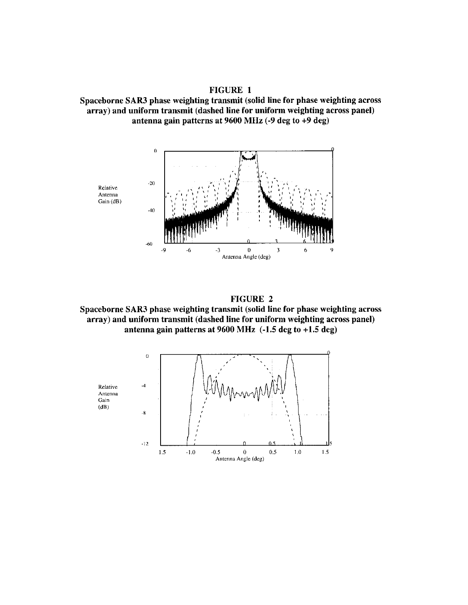FIGURE 1 Spaceborne SAR3 phase weighting transmit (solid line for phase weighting across array) and uniform transmit (dashed line for uniform weighting across panel) antenna gain patterns at **9600** MHz (-9 deg to **+9** deg)



**FIGURE 2** 

Spaceborne SAR3 phase weighting transmit (solid line for phase weighting across array) and uniform transmit (dashed line for uniform weighting across panel) antenna gain patterns at **9600** MHz (-1.5 deg to **+1.5** deg)

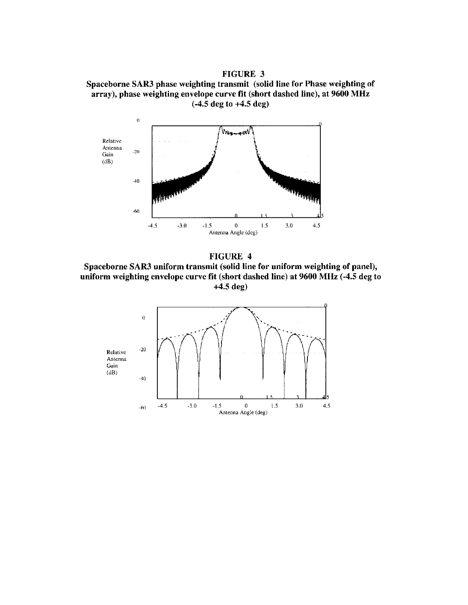FIGURE 3 Spaceborne SAR3 phase weighting transmit (solid line for Phase weighting of array), phase weighting envelope curve fit (short dashed line), at 9600 MHz (-4.5 deg to +4.5 deg)





Spaceborne SAR3 uniform transmit (solid line for uniform weighting of panel), uniform weighting envelope curve fit (short dashed line) at 9600 MHz (-4.5 deg to +4.5 deg)

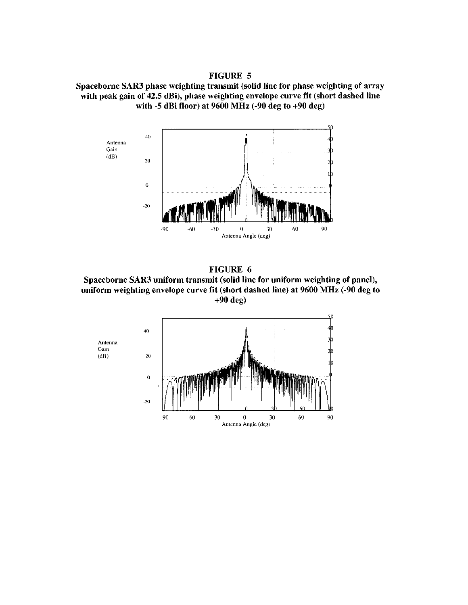FIGURE 5 Spaceborne SAR3 phase weighting transmit (solid line for phase weighting of array with peak gain of 42.5 dBi), phase weighting envelope curve fit (short dashed line with -5 dBi floor) at 9600 MHz (-90 deg to +90 deg)



FIGURE 6 Spaceborne SAR3 uniform transmit (solid line for uniform weighting of panel), uniform weighting envelope curve fit (short dashed line) at 9600 MHz (-90 deg to +90 deg)

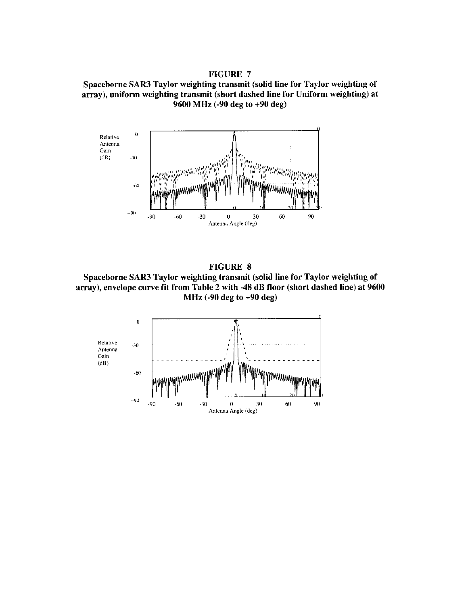# FIGURE 7 Spaceborne SAR3 Taylor weighting transmit (solid line for Taylor weighting of array), uniform weighting transmit (short dashed line for Uniform weighting) at 9600 MHz (-90 deg to +90 deg)





Spaceborne SAR3 Taylor weighting transmit (solid line for Taylor weighting of array), envelope curve fit from Table 2 with -48 dB floor (short dashed line) at 9600 MHz (-90 deg to +90 deg)

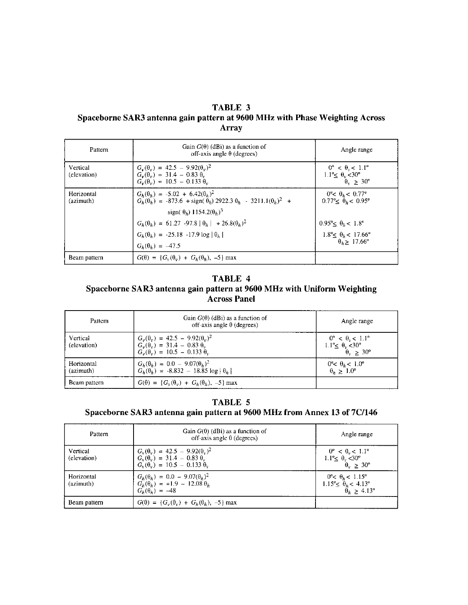# **TABLE 3 Spaceborne SAR3 antenna gain pattern at 9600 MHz with Phase Weighting Across Array**

| Pattern                 | Gain $G(\theta)$ (dBi) as a function of<br>off-axis angle $\theta$ (degrees)                                                                                                      | Angle range                                                                                                  |
|-------------------------|-----------------------------------------------------------------------------------------------------------------------------------------------------------------------------------|--------------------------------------------------------------------------------------------------------------|
| Vertical<br>(elevation) | $G_v(\theta_v) = 42.5 - 9.92(\theta_v)^2$<br>$G_v(\theta_v) = 31.4 - 0.83 \theta_v$<br>$G_v(\theta_v) = 10.5 - 0.133 \theta_v$                                                    | $0^{\circ} < \theta_{\nu} < 1.1^{\circ}$<br>$1.1^{\circ} \le \theta_v < 30^{\circ}$<br>$\theta_v > 30^\circ$ |
| Horizontal<br>(azimuth) | $G_h(\theta_h) = -5.02 + 6.42(\theta_h)^2$<br>$G_h(\theta_h) = -873.6 + \text{sign}(\theta_h) 2922.3 \theta_h - 3211.1(\theta_h)^2 +$<br>sign( $\theta_h$ ) 1154.2 $(\theta_h)^3$ | $0^{\circ}$ < $0b$ < $0.77^{\circ}$<br>$0.77o \leq \theta_b < 0.95o$                                         |
|                         | $G_h(\theta_h) = 61.27 - 97.8  \theta_h  + 26.8(\theta_h)^2$                                                                                                                      | $0.95^{\circ} < \theta_h < 1.8^{\circ}$                                                                      |
|                         | $G_h(\theta_h) = -25.18 - 17.9 \log  \theta_h $                                                                                                                                   | $1.8^{\circ} \le \theta_h < 17.66^{\circ}$                                                                   |
|                         | $G_h(\theta_h) = -47.5$                                                                                                                                                           | $\theta_h > 17.66^\circ$                                                                                     |
| Beam pattern            | $G(\theta) = \{G_v(\theta_v) + G_h(\theta_h), -5\}$ max                                                                                                                           |                                                                                                              |

# **TABLE 4 Spaceborne SAR3 antenna gain pattern at 9600 MHz with Uniform Weighting Across Panel**

| Pattern                 | Gain $G(\theta)$ (dBi) as a function of<br>off-axis angle $\theta$ (degrees)                                           | Angle range                                                                                                          |
|-------------------------|------------------------------------------------------------------------------------------------------------------------|----------------------------------------------------------------------------------------------------------------------|
| Vertical<br>(elevation) | $G_v(0_v) = 42.5 - 9.92(0_v)^2$<br>$G_v(\theta_v) = 31.4 - 0.83 \theta_v$<br>$G_v(\theta_v) = 10.5 - 0.133 \ \theta_v$ | $0^{\circ} < \theta_{0} < 1.1^{\circ}$<br>$1.1^{\circ} \leq \theta_{v} < 30^{\circ}$<br>$\theta_{v} \geq 30^{\circ}$ |
| Horizontal<br>(azimuth) | $G_h(\theta_h) = 0.0 - 9.07(\theta_h)^2$<br>$G_h(\theta_h) = -8.832 - 18.85 \log  \theta_h $                           | $0^\circ < \theta_b < 1.0^\circ$<br>$\theta_h > 1.0^\circ$                                                           |
| Beam pattern            | $G(\theta) = \{G_v(\theta_v) + G_h(\theta_h), -5\}$ max                                                                |                                                                                                                      |

# **TABLE 5**

# **Spaceborne SAR3 antenna gain pattern at 9600 MHz from Annex 13 of 7C/146**

| Pattern                 | Gain $G(0)$ (dBi) as a function of<br>off-axis angle $\theta$ (degrees)                                                        | Angle range                                                                                                    |
|-------------------------|--------------------------------------------------------------------------------------------------------------------------------|----------------------------------------------------------------------------------------------------------------|
| Vertical<br>(elevation) | $G_v(\theta_v) = 42.5 - 9.92(\theta_v)^2$<br>$G_v(\theta_v) = 31.4 - 0.83 \theta_v$<br>$G_v(\theta_v) = 10.5 - 0.133 \theta_v$ | $0^{\circ} < \theta_{\rm v} < 1.1^{\circ}$<br>1.1 <sup>o</sup> $\leq \frac{\theta_v}{\theta_v} \leq 30^\circ$  |
| Horizontal<br>(azimuth) | $G_h(\theta_h) = 0.0 - 9.07(\theta_h)^2$<br>$G_h(\theta_h) = +1.9 - 12.08 \theta_h$<br>$G_h(\theta_h) = -48$                   | $0^{\circ} < \theta_k < 1.15^{\circ}$<br>$1.15^{\circ} \le \theta_h < 4.13^{\circ}$<br>$\theta_k > 4.13^\circ$ |
| Beam pattern            | $G(\theta) = \{G_v(\theta_v) + G_h(\theta_h), -5\} \max$                                                                       |                                                                                                                |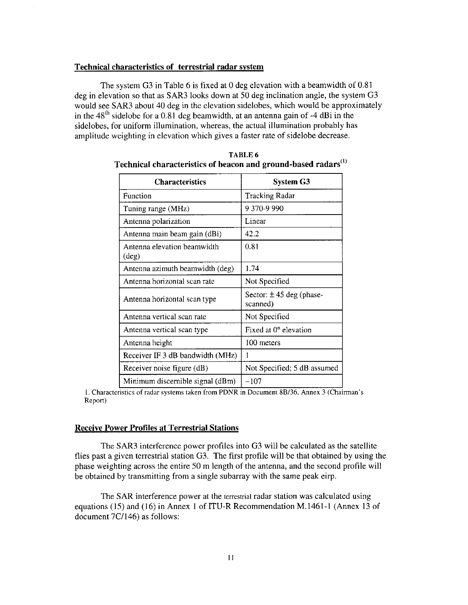#### **Technical characteristics of terrestrial radar system**

The system G3 in Table 6 is fixed at 0 deg elevation with a beamwidth of 0.81 deg in elevation so that as SAR3 looks down at 50 deg inclination angle, the system G3 would see **SAR3** about 40 deg in the elevation sidelobes, which would be approximately in the 48<sup>th</sup> sidelobe for a 0.81 deg beamwidth, at an antenna gain of -4 dBi in the sidelobes, for uniform illumination, whereas, the actual illumination probably has amplitude weighting in elevation which gives a faster rate of sidelobe decrease.

| <b>Characteristics</b>                        | <b>System G3</b>                         |  |
|-----------------------------------------------|------------------------------------------|--|
| Function                                      | <b>Tracking Radar</b>                    |  |
| Tuning range (MHz)                            | 9 370-9 990                              |  |
| Antenna polarization                          | Linear                                   |  |
| Antenna main beam gain (dBi)                  | 42.2                                     |  |
| Antenna elevation beamwidth<br>$(\text{deg})$ | 0.81                                     |  |
| Antenna azimuth beamwidth (deg)               | 1.74                                     |  |
| Antenna horizontal scan rate                  | Not Specified                            |  |
| Antenna horizontal scan type                  | Sector: $\pm 45$ deg (phase-<br>scanned) |  |
| Antenna vertical scan rate                    | Not Specified                            |  |
| Antenna vertical scan type                    | Fixed at $0^{\circ}$ elevation           |  |
| Antenna height                                | 100 meters                               |  |
| Receiver IF 3 dB bandwidth (MHz)              |                                          |  |
| Receiver noise figure (dB)                    | Not Specified; 5 dB assumed              |  |
| Minimum discernible signal (dBm)              | $-107$                                   |  |

**TABLE 6 Technical characteristics of beacon and ground-based radars")** 

**Minimum discernible signal (dBm)**  $\begin{array}{|l} -107 \end{array}$ <br>1. Characteristics of radar systems taken from PDNR in Document 8B/36, Annex 3 (Chairman's Report)

#### **Receive Power Profiles at Terrestrial Stations**

The SAR3 interference power profiles into *G3* will be calculated as the satellite flies past a given terrestrial station G3. The first profile will be that obtained by using the phase weighting across the entire 50 m length of the antenna, and the second profile will be obtained by transmitting from a single subarray with the same peak eirp.

The SAR interference power at the terrestrial radar station was calculated using equations (15) and (16) in Annex 1 of ITU-R Recommendation M.1461-1 (Annex 13 of document 7C/146) as follows: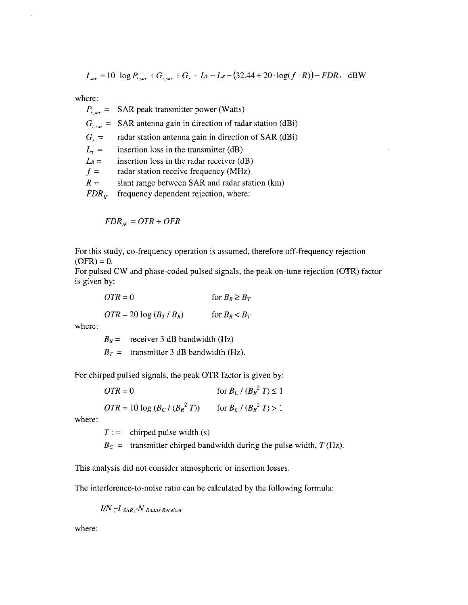$$
I_{sar} = 10 \cdot \log P_{t,sar} + G_{t,sar} + G_r - L\mathbf{r} - L\mathbf{R} - (32.44 + 20 \cdot \log(f \cdot \mathbf{R})) - FDR_{\alpha} \text{ dBW}
$$

where:

 $P_{\text{r}}$ <sub>sor</sub> =  $G_{\iota, \text{sar}} =$  $G<sub>r</sub>$  =  $L_{\tau} =$  $L_R =$  $f =$  $R =$  $FDR_{IF}$ **SAR** peak transmitter power (Watts) **SAR** antenna gain in direction of radar station (dBi) radar station antenna gain in direction of **SAR** (dBi) insertion loss in the transmitter (dB) insertion loss in the radar receiver (dB) radar station receive frequency (MHz) slant range between SAR and radar station (km) frequency dependent rejection, where:

 $FDR_{IF} = OTR + OFR$ 

For this study, co-frequency operation is assumed, therefore off-frequency rejection  $(OFR) = 0.$ 

For pulsed CW and phase-coded pulsed signals, the peak on-tune rejection (OTR) factor is given by:

 $OTR = 0$  for  $B_R \ge B_T$  $OTR = 20 \log (B_T / B_R)$  for  $B_R < B_T$ 

where:

 $B_R$  = receiver 3 dB bandwidth (Hz)  $B_T =$  transmitter 3 dB bandwidth (Hz).

For chirped pulsed signals, the peak **OTR** factor is given by:

 $\angle OTR = 0$  for  $B_C / (B_R^2 T) \leq 1$ 

 $OTR = 10 \log (B_C / (B_R^2 T))$  for  $B_C / (B_R^2 T) > 1$ 

where:

 $T :=$  chirped pulse width (s)

 $B_C$  = transmitter chirped bandwidth during the pulse width, *T* (Hz).

This analysis did not consider atmospheric or insertion losses.

The interference-to-noise ratio can be calculated by the following formula:

 $I/N = I_{SAR} - N_{Radar Receiver}$ 

where: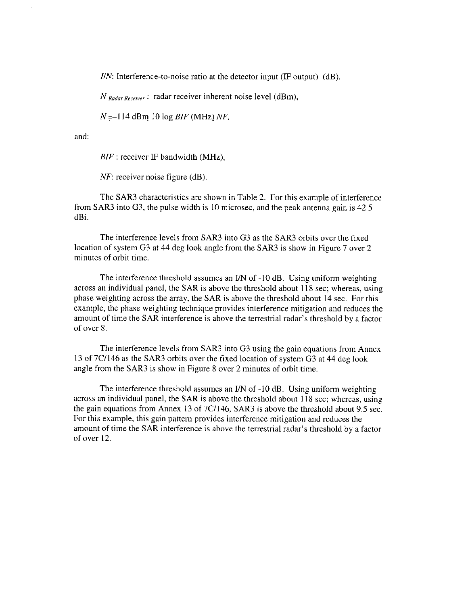$I/N$ : Interference-to-noise ratio at the detector input (IF output) (dB),

*N Radar Receiver* : radar receiver inherent noise level (dBm),  $N = -114$  dBm 10 log *BIF* (MHz) *NF*,

and:

BIF : receiver IF bandwidth (MHz),

*NF*: receiver noise figure (dB).

The SAR3 characteristics are shown in Table 2. For this example of interference from SAR3 into G3, the pulse width is 10 microsec, and the peak antenna gain is 42.5 dBi.

The interference levels from SAR3 into G3 as the SAR3 orbits over the fixed location of system G3 at 44 deg look angle from the SAR3 is show in Figure 7 over 2 minutes of orbit time.

The interference threshold assumes an I/N of -10 dB. Using uniform weighting across an individual panel, the SAR is above the threshold about 1 18 sec; whereas, using phase weighting across the array, the SAR is above the threshold about 14 sec. For this example, the phase weighting technique provides interference mitigation and reduces the amount of time the SAR interference is above the terrestrial radar's threshold by a factor of over 8.

The interference levels from SAR3 into G3 using the gain equations from Annex 13 of 7Cl146 as the SAR3 orbits over the fixed location of system *G3* at 44 deg look angle from the SAR3 is show in Figure 8 over 2 minutes of orbit time.

The interference threshold assumes an I/N of -10 dB. Using uniform weighting across an individual panel, the SAR is above the threshold about 118 sec; whereas, using the gain equations from Annex 13 of 7C/146, SAR3 is above the threshold about 9.5 sec. For this example, this gain pattern provides interference mitigation and reduces the amount of time the SAR interference is above the terrestrial radar's threshold by a factor of over 12.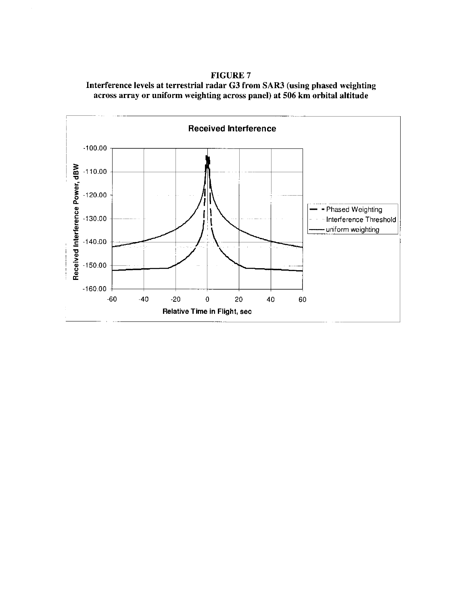**Interference levels at terrestrial radar G3 from SAR3 (using phased weighting across array or uniform weighting across panel) at 506 km orbital altitude** 



# **FIGURE 7**